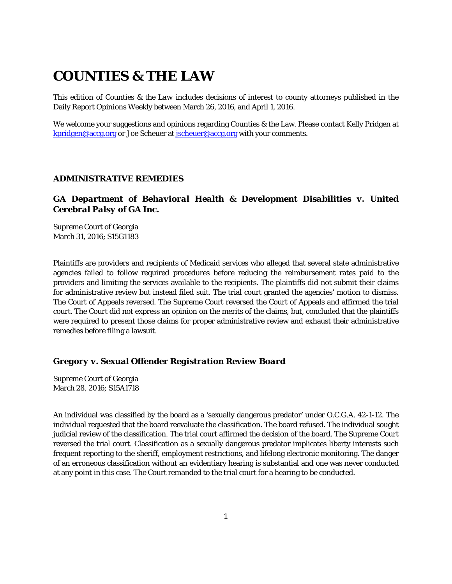# **COUNTIES & THE LAW**

This edition of *Counties & the Law* includes decisions of interest to county attorneys published in the Daily Report Opinions Weekly between March 26, 2016, and April 1, 2016.

We welcome your suggestions and opinions regarding Counties & the Law. Please contact Kelly Pridgen at [kpridgen@accg.org](mailto:kpridgen@accg.org) or Joe Scheuer at [jscheuer@accg.org](mailto:jscheuer@accg.org) with your comments.

# *ADMINISTRATIVE REMEDIES*

# *GA Department of Behavioral Health & Development Disabilities v. United Cerebral Palsy of GA Inc.*

Supreme Court of Georgia March 31, 2016; S15G1183

Plaintiffs are providers and recipients of Medicaid services who alleged that several state administrative agencies failed to follow required procedures before reducing the reimbursement rates paid to the providers and limiting the services available to the recipients. The plaintiffs did not submit their claims for administrative review but instead filed suit. The trial court granted the agencies' motion to dismiss. The Court of Appeals reversed. The Supreme Court reversed the Court of Appeals and affirmed the trial court. The Court did not express an opinion on the merits of the claims, but, concluded that the plaintiffs were required to present those claims for proper administrative review and exhaust their administrative remedies before filing a lawsuit.

# *Gregory v. Sexual Offender Registration Review Board*

Supreme Court of Georgia March 28, 2016; S15A1718

An individual was classified by the board as a 'sexually dangerous predator' under O.C.G.A. 42-1-12. The individual requested that the board reevaluate the classification. The board refused. The individual sought judicial review of the classification. The trial court affirmed the decision of the board. The Supreme Court reversed the trial court. Classification as a sexually dangerous predator implicates liberty interests such frequent reporting to the sheriff, employment restrictions, and lifelong electronic monitoring. The danger of an erroneous classification without an evidentiary hearing is substantial and one was never conducted at any point in this case. The Court remanded to the trial court for a hearing to be conducted.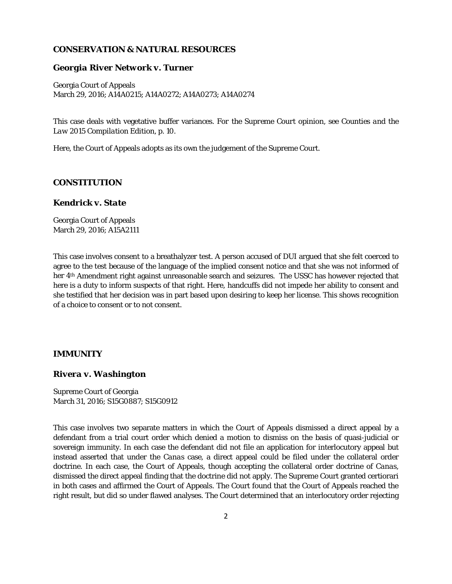# *CONSERVATION & NATURAL RESOURCES*

#### *Georgia River Network v. Turner*

Georgia Court of Appeals March 29, 2016; A14A0215; A14A0272; A14A0273; A14A0274

This case deals with vegetative buffer variances. *For the Supreme Court opinion, see Counties and the Law 2015 Compilation Edition, p. 10.*

Here, the Court of Appeals adopts as its own the judgement of the Supreme Court.

#### *CONSTITUTION*

#### *Kendrick v. State*

Georgia Court of Appeals March 29, 2016; A15A2111

This case involves consent to a breathalyzer test. A person accused of DUI argued that she felt coerced to agree to the test because of the language of the implied consent notice and that she was not informed of her 4th Amendment right against unreasonable search and seizures. The USSC has however rejected that here is a duty to inform suspects of that right. Here, handcuffs did not impede her ability to consent and she testified that her decision was in part based upon desiring to keep her license. This shows recognition of a choice to consent or to not consent.

#### *IMMUNITY*

### *Rivera v. Washington*

Supreme Court of Georgia March 31, 2016; S15G0887; S15G0912

This case involves two separate matters in which the Court of Appeals dismissed a direct appeal by a defendant from a trial court order which denied a motion to dismiss on the basis of quasi-judicial or sovereign immunity. In each case the defendant did not file an application for interlocutory appeal but instead asserted that under the *Canas* case, a direct appeal could be filed under the collateral order doctrine. In each case, the Court of Appeals, though accepting the collateral order doctrine of *Canas*, dismissed the direct appeal finding that the doctrine did not apply. The Supreme Court granted certiorari in both cases and affirmed the Court of Appeals. The Court found that the Court of Appeals reached the right result, but did so under flawed analyses. The Court determined that an interlocutory order rejecting